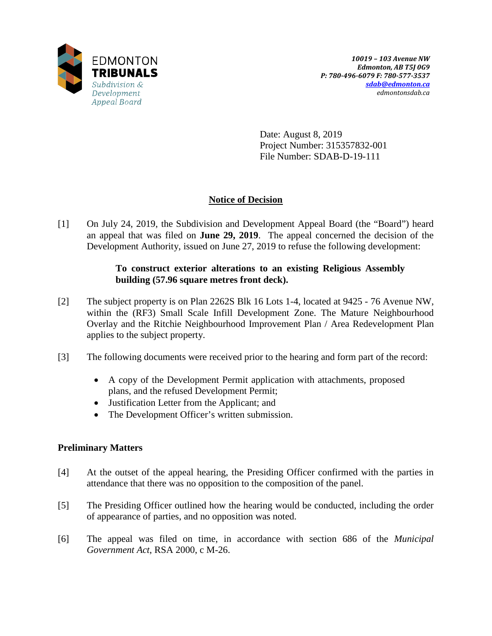

Date: August 8, 2019 Project Number: 315357832-001 File Number: SDAB-D-19-111

# **Notice of Decision**

[1] On July 24, 2019, the Subdivision and Development Appeal Board (the "Board") heard an appeal that was filed on **June 29, 2019**. The appeal concerned the decision of the Development Authority, issued on June 27, 2019 to refuse the following development:

## **To construct exterior alterations to an existing Religious Assembly building (57.96 square metres front deck).**

- [2] The subject property is on Plan 2262S Blk 16 Lots 1-4, located at 9425 76 Avenue NW, within the (RF3) Small Scale Infill Development Zone. The Mature Neighbourhood Overlay and the Ritchie Neighbourhood Improvement Plan / Area Redevelopment Plan applies to the subject property.
- [3] The following documents were received prior to the hearing and form part of the record:
	- A copy of the Development Permit application with attachments, proposed plans, and the refused Development Permit;
	- Justification Letter from the Applicant; and
	- The Development Officer's written submission.

# **Preliminary Matters**

- [4] At the outset of the appeal hearing, the Presiding Officer confirmed with the parties in attendance that there was no opposition to the composition of the panel.
- [5] The Presiding Officer outlined how the hearing would be conducted, including the order of appearance of parties, and no opposition was noted.
- [6] The appeal was filed on time, in accordance with section 686 of the *Municipal Government Act*, RSA 2000, c M-26.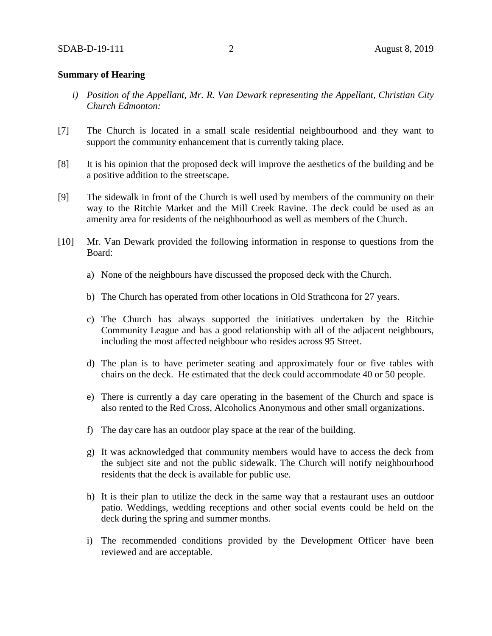### **Summary of Hearing**

- *i) Position of the Appellant, Mr. R. Van Dewark representing the Appellant, Christian City Church Edmonton:*
- [7] The Church is located in a small scale residential neighbourhood and they want to support the community enhancement that is currently taking place.
- [8] It is his opinion that the proposed deck will improve the aesthetics of the building and be a positive addition to the streetscape.
- [9] The sidewalk in front of the Church is well used by members of the community on their way to the Ritchie Market and the Mill Creek Ravine. The deck could be used as an amenity area for residents of the neighbourhood as well as members of the Church.
- [10] Mr. Van Dewark provided the following information in response to questions from the Board:
	- a) None of the neighbours have discussed the proposed deck with the Church.
	- b) The Church has operated from other locations in Old Strathcona for 27 years.
	- c) The Church has always supported the initiatives undertaken by the Ritchie Community League and has a good relationship with all of the adjacent neighbours, including the most affected neighbour who resides across 95 Street.
	- d) The plan is to have perimeter seating and approximately four or five tables with chairs on the deck. He estimated that the deck could accommodate 40 or 50 people.
	- e) There is currently a day care operating in the basement of the Church and space is also rented to the Red Cross, Alcoholics Anonymous and other small organizations.
	- f) The day care has an outdoor play space at the rear of the building.
	- g) It was acknowledged that community members would have to access the deck from the subject site and not the public sidewalk. The Church will notify neighbourhood residents that the deck is available for public use.
	- h) It is their plan to utilize the deck in the same way that a restaurant uses an outdoor patio. Weddings, wedding receptions and other social events could be held on the deck during the spring and summer months.
	- i) The recommended conditions provided by the Development Officer have been reviewed and are acceptable.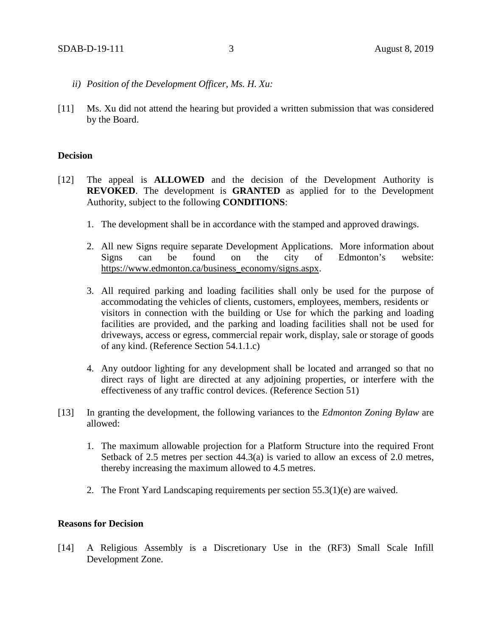- *ii) Position of the Development Officer, Ms. H. Xu:*
- [11] Ms. Xu did not attend the hearing but provided a written submission that was considered by the Board.

#### **Decision**

- [12] The appeal is **ALLOWED** and the decision of the Development Authority is **REVOKED**. The development is **GRANTED** as applied for to the Development Authority, subject to the following **CONDITIONS**:
	- 1. The development shall be in accordance with the stamped and approved drawings.
	- 2. All new Signs require separate Development Applications. More information about Signs can be found on the city of Edmonton's website: [https://www.edmonton.ca/business\\_economy/signs.aspx.](https://www.edmonton.ca/business_economy/signs.aspx)
	- 3. All required parking and loading facilities shall only be used for the purpose of accommodating the vehicles of clients, customers, employees, members, residents or visitors in connection with the building or Use for which the parking and loading facilities are provided, and the parking and loading facilities shall not be used for driveways, access or egress, commercial repair work, display, sale or storage of goods of any kind. (Reference Section 54.1.1.c)
	- 4. Any outdoor lighting for any development shall be located and arranged so that no direct rays of light are directed at any adjoining properties, or interfere with the effectiveness of any traffic control devices. (Reference Section 51)
- [13] In granting the development, the following variances to the *Edmonton Zoning Bylaw* are allowed:
	- 1. The maximum allowable projection for a Platform Structure into the required Front Setback of 2.5 metres per section  $44.3(a)$  is varied to allow an excess of 2.0 metres, thereby increasing the maximum allowed to 4.5 metres.
	- 2. The Front Yard Landscaping requirements per section 55.3(1)(e) are waived.

#### **Reasons for Decision**

[14] A Religious Assembly is a Discretionary Use in the (RF3) Small Scale Infill Development Zone.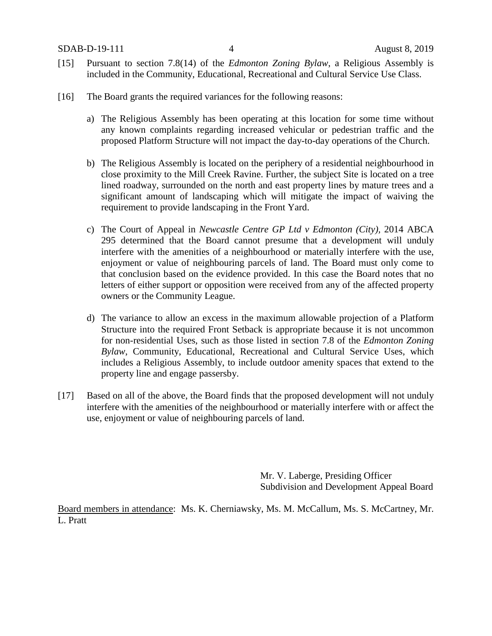- [15] Pursuant to section 7.8(14) of the *Edmonton Zoning Bylaw*, a Religious Assembly is included in the Community, Educational, Recreational and Cultural Service Use Class.
- [16] The Board grants the required variances for the following reasons:
	- a) The Religious Assembly has been operating at this location for some time without any known complaints regarding increased vehicular or pedestrian traffic and the proposed Platform Structure will not impact the day-to-day operations of the Church.
	- b) The Religious Assembly is located on the periphery of a residential neighbourhood in close proximity to the Mill Creek Ravine. Further, the subject Site is located on a tree lined roadway, surrounded on the north and east property lines by mature trees and a significant amount of landscaping which will mitigate the impact of waiving the requirement to provide landscaping in the Front Yard.
	- c) The Court of Appeal in *Newcastle Centre GP Ltd v Edmonton (City),* 2014 ABCA 295 determined that the Board cannot presume that a development will unduly interfere with the amenities of a neighbourhood or materially interfere with the use, enjoyment or value of neighbouring parcels of land. The Board must only come to that conclusion based on the evidence provided. In this case the Board notes that no letters of either support or opposition were received from any of the affected property owners or the Community League.
	- d) The variance to allow an excess in the maximum allowable projection of a Platform Structure into the required Front Setback is appropriate because it is not uncommon for non-residential Uses, such as those listed in section 7.8 of the *Edmonton Zoning Bylaw*, Community, Educational, Recreational and Cultural Service Uses, which includes a Religious Assembly, to include outdoor amenity spaces that extend to the property line and engage passersby.
- [17] Based on all of the above, the Board finds that the proposed development will not unduly interfere with the amenities of the neighbourhood or materially interfere with or affect the use, enjoyment or value of neighbouring parcels of land.

Mr. V. Laberge, Presiding Officer Subdivision and Development Appeal Board

Board members in attendance: Ms. K. Cherniawsky, Ms. M. McCallum, Ms. S. McCartney, Mr. L. Pratt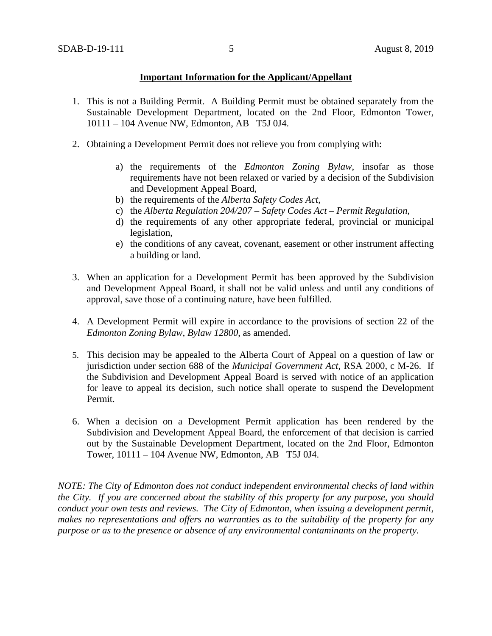### **Important Information for the Applicant/Appellant**

- 1. This is not a Building Permit. A Building Permit must be obtained separately from the Sustainable Development Department, located on the 2nd Floor, Edmonton Tower, 10111 – 104 Avenue NW, Edmonton, AB T5J 0J4.
- 2. Obtaining a Development Permit does not relieve you from complying with:
	- a) the requirements of the *Edmonton Zoning Bylaw*, insofar as those requirements have not been relaxed or varied by a decision of the Subdivision and Development Appeal Board,
	- b) the requirements of the *Alberta Safety Codes Act*,
	- c) the *Alberta Regulation 204/207 – Safety Codes Act – Permit Regulation*,
	- d) the requirements of any other appropriate federal, provincial or municipal legislation,
	- e) the conditions of any caveat, covenant, easement or other instrument affecting a building or land.
- 3. When an application for a Development Permit has been approved by the Subdivision and Development Appeal Board, it shall not be valid unless and until any conditions of approval, save those of a continuing nature, have been fulfilled.
- 4. A Development Permit will expire in accordance to the provisions of section 22 of the *Edmonton Zoning Bylaw, Bylaw 12800*, as amended.
- 5. This decision may be appealed to the Alberta Court of Appeal on a question of law or jurisdiction under section 688 of the *Municipal Government Act*, RSA 2000, c M-26. If the Subdivision and Development Appeal Board is served with notice of an application for leave to appeal its decision, such notice shall operate to suspend the Development Permit.
- 6. When a decision on a Development Permit application has been rendered by the Subdivision and Development Appeal Board, the enforcement of that decision is carried out by the Sustainable Development Department, located on the 2nd Floor, Edmonton Tower, 10111 – 104 Avenue NW, Edmonton, AB T5J 0J4.

*NOTE: The City of Edmonton does not conduct independent environmental checks of land within the City. If you are concerned about the stability of this property for any purpose, you should conduct your own tests and reviews. The City of Edmonton, when issuing a development permit, makes no representations and offers no warranties as to the suitability of the property for any purpose or as to the presence or absence of any environmental contaminants on the property.*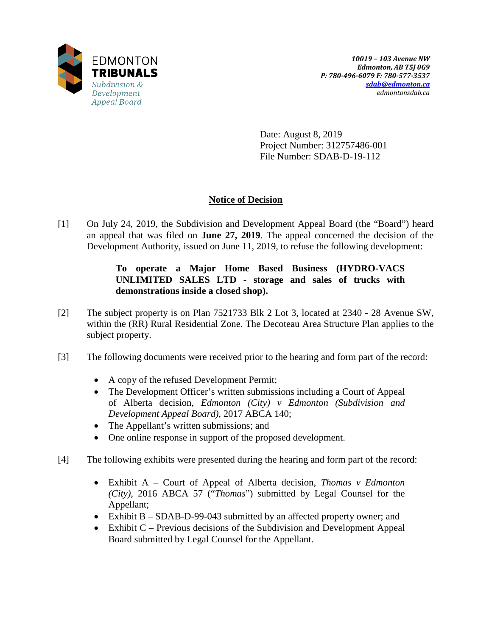

Date: August 8, 2019 Project Number: 312757486-001 File Number: SDAB-D-19-112

# **Notice of Decision**

[1] On July 24, 2019, the Subdivision and Development Appeal Board (the "Board") heard an appeal that was filed on **June 27, 2019**. The appeal concerned the decision of the Development Authority, issued on June 11, 2019, to refuse the following development:

## **To operate a Major Home Based Business (HYDRO-VACS UNLIMITED SALES LTD - storage and sales of trucks with demonstrations inside a closed shop).**

- [2] The subject property is on Plan 7521733 Blk 2 Lot 3, located at 2340 28 Avenue SW, within the (RR) Rural Residential Zone. The Decoteau Area Structure Plan applies to the subject property.
- [3] The following documents were received prior to the hearing and form part of the record:
	- A copy of the refused Development Permit;
	- The Development Officer's written submissions including a Court of Appeal of Alberta decision, *Edmonton (City) v Edmonton (Subdivision and Development Appeal Board)*, 2017 ABCA 140;
	- The Appellant's written submissions; and
	- One online response in support of the proposed development.
- [4] The following exhibits were presented during the hearing and form part of the record:
	- Exhibit A Court of Appeal of Alberta decision, *Thomas v Edmonton (City)*, 2016 ABCA 57 ("*Thomas*") submitted by Legal Counsel for the Appellant;
	- Exhibit B SDAB-D-99-043 submitted by an affected property owner; and
	- Exhibit C Previous decisions of the Subdivision and Development Appeal Board submitted by Legal Counsel for the Appellant.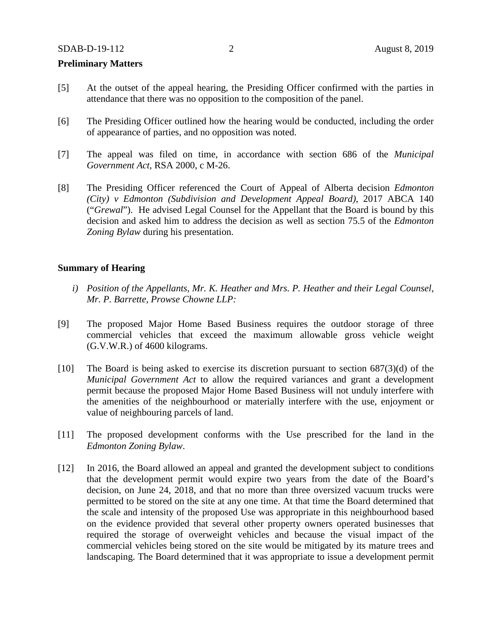### **Preliminary Matters**

- [5] At the outset of the appeal hearing, the Presiding Officer confirmed with the parties in attendance that there was no opposition to the composition of the panel.
- [6] The Presiding Officer outlined how the hearing would be conducted, including the order of appearance of parties, and no opposition was noted.
- [7] The appeal was filed on time, in accordance with section 686 of the *Municipal Government Act*, RSA 2000, c M-26.
- [8] The Presiding Officer referenced the Court of Appeal of Alberta decision *Edmonton (City) v Edmonton (Subdivision and Development Appeal Board)*, 2017 ABCA 140 ("*Grewal*"). He advised Legal Counsel for the Appellant that the Board is bound by this decision and asked him to address the decision as well as section 75.5 of the *Edmonton Zoning Bylaw* during his presentation.

### **Summary of Hearing**

- *i) Position of the Appellants, Mr. K. Heather and Mrs. P. Heather and their Legal Counsel, Mr. P. Barrette, Prowse Chowne LLP:*
- [9] The proposed Major Home Based Business requires the outdoor storage of three commercial vehicles that exceed the maximum allowable gross vehicle weight (G.V.W.R.) of 4600 kilograms.
- [10] The Board is being asked to exercise its discretion pursuant to section  $687(3)(d)$  of the *Municipal Government Act* to allow the required variances and grant a development permit because the proposed Major Home Based Business will not unduly interfere with the amenities of the neighbourhood or materially interfere with the use, enjoyment or value of neighbouring parcels of land.
- [11] The proposed development conforms with the Use prescribed for the land in the *Edmonton Zoning Bylaw*.
- [12] In 2016, the Board allowed an appeal and granted the development subject to conditions that the development permit would expire two years from the date of the Board's decision, on June 24, 2018, and that no more than three oversized vacuum trucks were permitted to be stored on the site at any one time. At that time the Board determined that the scale and intensity of the proposed Use was appropriate in this neighbourhood based on the evidence provided that several other property owners operated businesses that required the storage of overweight vehicles and because the visual impact of the commercial vehicles being stored on the site would be mitigated by its mature trees and landscaping. The Board determined that it was appropriate to issue a development permit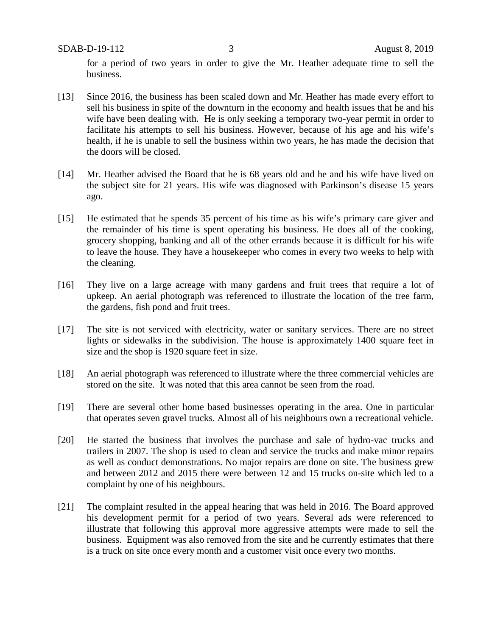SDAB-D-19-112 3 August 8, 2019

for a period of two years in order to give the Mr. Heather adequate time to sell the business.

- [13] Since 2016, the business has been scaled down and Mr. Heather has made every effort to sell his business in spite of the downturn in the economy and health issues that he and his wife have been dealing with. He is only seeking a temporary two-year permit in order to facilitate his attempts to sell his business. However, because of his age and his wife's health, if he is unable to sell the business within two years, he has made the decision that the doors will be closed.
- [14] Mr. Heather advised the Board that he is 68 years old and he and his wife have lived on the subject site for 21 years. His wife was diagnosed with Parkinson's disease 15 years ago.
- [15] He estimated that he spends 35 percent of his time as his wife's primary care giver and the remainder of his time is spent operating his business. He does all of the cooking, grocery shopping, banking and all of the other errands because it is difficult for his wife to leave the house. They have a housekeeper who comes in every two weeks to help with the cleaning.
- [16] They live on a large acreage with many gardens and fruit trees that require a lot of upkeep. An aerial photograph was referenced to illustrate the location of the tree farm, the gardens, fish pond and fruit trees.
- [17] The site is not serviced with electricity, water or sanitary services. There are no street lights or sidewalks in the subdivision. The house is approximately 1400 square feet in size and the shop is 1920 square feet in size.
- [18] An aerial photograph was referenced to illustrate where the three commercial vehicles are stored on the site. It was noted that this area cannot be seen from the road.
- [19] There are several other home based businesses operating in the area. One in particular that operates seven gravel trucks. Almost all of his neighbours own a recreational vehicle.
- [20] He started the business that involves the purchase and sale of hydro-vac trucks and trailers in 2007. The shop is used to clean and service the trucks and make minor repairs as well as conduct demonstrations. No major repairs are done on site. The business grew and between 2012 and 2015 there were between 12 and 15 trucks on-site which led to a complaint by one of his neighbours.
- [21] The complaint resulted in the appeal hearing that was held in 2016. The Board approved his development permit for a period of two years. Several ads were referenced to illustrate that following this approval more aggressive attempts were made to sell the business. Equipment was also removed from the site and he currently estimates that there is a truck on site once every month and a customer visit once every two months.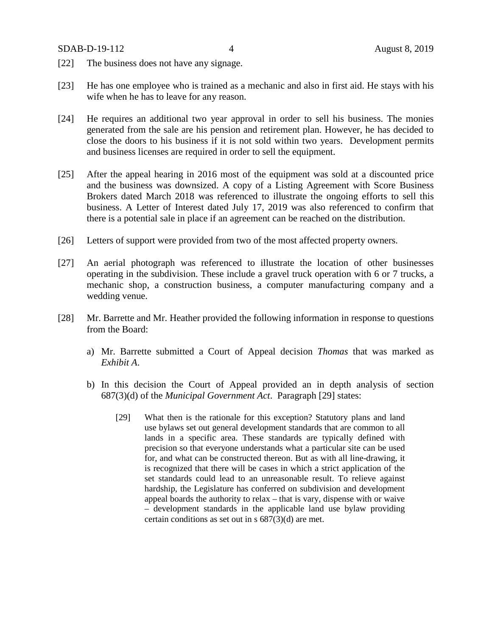- [22] The business does not have any signage.
- [23] He has one employee who is trained as a mechanic and also in first aid. He stays with his wife when he has to leave for any reason.
- [24] He requires an additional two year approval in order to sell his business. The monies generated from the sale are his pension and retirement plan. However, he has decided to close the doors to his business if it is not sold within two years. Development permits and business licenses are required in order to sell the equipment.
- [25] After the appeal hearing in 2016 most of the equipment was sold at a discounted price and the business was downsized. A copy of a Listing Agreement with Score Business Brokers dated March 2018 was referenced to illustrate the ongoing efforts to sell this business. A Letter of Interest dated July 17, 2019 was also referenced to confirm that there is a potential sale in place if an agreement can be reached on the distribution.
- [26] Letters of support were provided from two of the most affected property owners.
- [27] An aerial photograph was referenced to illustrate the location of other businesses operating in the subdivision. These include a gravel truck operation with 6 or 7 trucks, a mechanic shop, a construction business, a computer manufacturing company and a wedding venue.
- [28] Mr. Barrette and Mr. Heather provided the following information in response to questions from the Board:
	- a) Mr. Barrette submitted a Court of Appeal decision *Thomas* that was marked as *Exhibit A*.
	- b) In this decision the Court of Appeal provided an in depth analysis of section 687(3)(d) of the *Municipal Government Act*. Paragraph [29] states:
		- [29] What then is the rationale for this exception? Statutory plans and land use bylaws set out general development standards that are common to all lands in a specific area. These standards are typically defined with precision so that everyone understands what a particular site can be used for, and what can be constructed thereon. But as with all line-drawing, it is recognized that there will be cases in which a strict application of the set standards could lead to an unreasonable result. To relieve against hardship, the Legislature has conferred on subdivision and development appeal boards the authority to relax – that is vary, dispense with or waive – development standards in the applicable land use bylaw providing certain conditions as set out in s 687(3)(d) are met.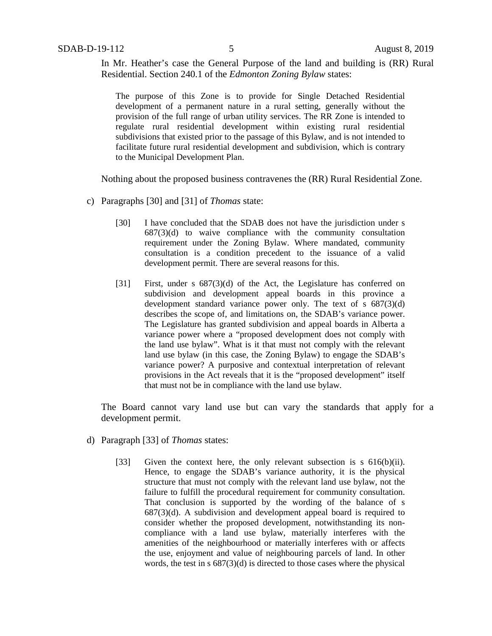In Mr. Heather's case the General Purpose of the land and building is (RR) Rural Residential. Section 240.1 of the *Edmonton Zoning Bylaw* states:

The purpose of this Zone is to provide for Single Detached Residential development of a permanent nature in a rural setting, generally without the provision of the full range of urban utility services. The RR Zone is intended to regulate rural residential development within existing rural residential subdivisions that existed prior to the passage of this Bylaw, and is not intended to facilitate future rural residential development and subdivision, which is contrary to the Municipal Development Plan.

Nothing about the proposed business contravenes the (RR) Rural Residential Zone.

- c) Paragraphs [30] and [31] of *Thomas* state:
	- [30] I have concluded that the SDAB does not have the jurisdiction under s  $687(3)(d)$  to waive compliance with the community consultation requirement under the Zoning Bylaw. Where mandated, community consultation is a condition precedent to the issuance of a valid development permit. There are several reasons for this.
	- [31] First, under s 687(3)(d) of the Act, the Legislature has conferred on subdivision and development appeal boards in this province a development standard variance power only. The text of s 687(3)(d) describes the scope of, and limitations on, the SDAB's variance power. The Legislature has granted subdivision and appeal boards in Alberta a variance power where a "proposed development does not comply with the land use bylaw". What is it that must not comply with the relevant land use bylaw (in this case, the Zoning Bylaw) to engage the SDAB's variance power? A purposive and contextual interpretation of relevant provisions in the Act reveals that it is the "proposed development" itself that must not be in compliance with the land use bylaw.

The Board cannot vary land use but can vary the standards that apply for a development permit.

- d) Paragraph [33] of *Thomas* states:
	- [33] Given the context here, the only relevant subsection is s 616(b)(ii). Hence, to engage the SDAB's variance authority, it is the physical structure that must not comply with the relevant land use bylaw, not the failure to fulfill the procedural requirement for community consultation. That conclusion is supported by the wording of the balance of s  $687(3)(d)$ . A subdivision and development appeal board is required to consider whether the proposed development, notwithstanding its noncompliance with a land use bylaw, materially interferes with the amenities of the neighbourhood or materially interferes with or affects the use, enjoyment and value of neighbouring parcels of land. In other words, the test in s 687(3)(d) is directed to those cases where the physical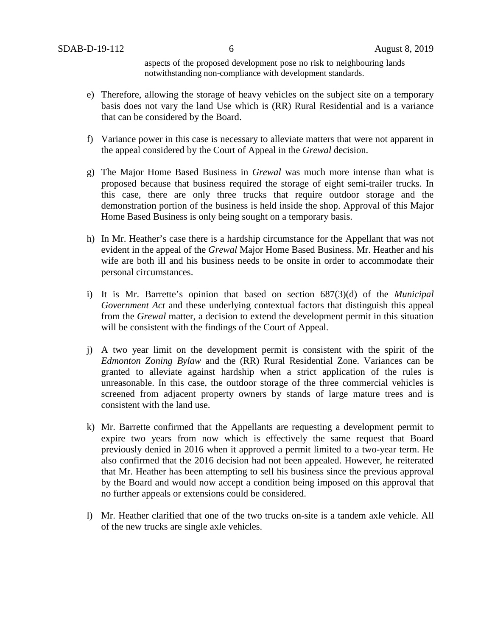aspects of the proposed development pose no risk to neighbouring lands notwithstanding non-compliance with development standards.

- e) Therefore, allowing the storage of heavy vehicles on the subject site on a temporary basis does not vary the land Use which is (RR) Rural Residential and is a variance that can be considered by the Board.
- f) Variance power in this case is necessary to alleviate matters that were not apparent in the appeal considered by the Court of Appeal in the *Grewal* decision.
- g) The Major Home Based Business in *Grewal* was much more intense than what is proposed because that business required the storage of eight semi-trailer trucks. In this case, there are only three trucks that require outdoor storage and the demonstration portion of the business is held inside the shop. Approval of this Major Home Based Business is only being sought on a temporary basis.
- h) In Mr. Heather's case there is a hardship circumstance for the Appellant that was not evident in the appeal of the *Grewal* Major Home Based Business. Mr. Heather and his wife are both ill and his business needs to be onsite in order to accommodate their personal circumstances.
- i) It is Mr. Barrette's opinion that based on section 687(3)(d) of the *Municipal Government Act* and these underlying contextual factors that distinguish this appeal from the *Grewal* matter, a decision to extend the development permit in this situation will be consistent with the findings of the Court of Appeal.
- j) A two year limit on the development permit is consistent with the spirit of the *Edmonton Zoning Bylaw* and the (RR) Rural Residential Zone. Variances can be granted to alleviate against hardship when a strict application of the rules is unreasonable. In this case, the outdoor storage of the three commercial vehicles is screened from adjacent property owners by stands of large mature trees and is consistent with the land use.
- k) Mr. Barrette confirmed that the Appellants are requesting a development permit to expire two years from now which is effectively the same request that Board previously denied in 2016 when it approved a permit limited to a two-year term. He also confirmed that the 2016 decision had not been appealed. However, he reiterated that Mr. Heather has been attempting to sell his business since the previous approval by the Board and would now accept a condition being imposed on this approval that no further appeals or extensions could be considered.
- l) Mr. Heather clarified that one of the two trucks on-site is a tandem axle vehicle. All of the new trucks are single axle vehicles.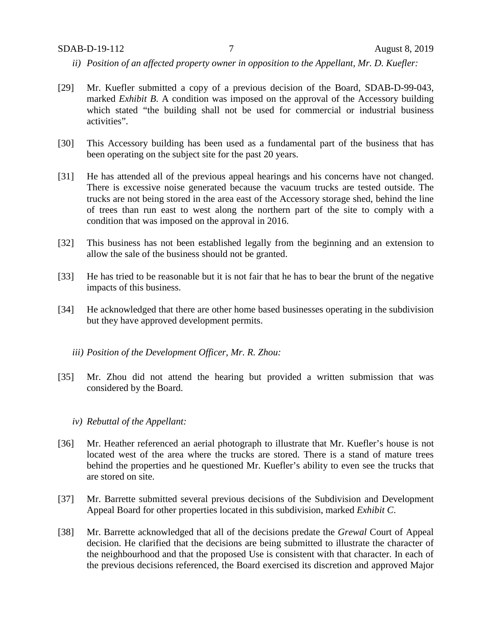- *ii) Position of an affected property owner in opposition to the Appellant, Mr. D. Kuefler:*
- [29] Mr. Kuefler submitted a copy of a previous decision of the Board, SDAB-D-99-043, marked *Exhibit B*. A condition was imposed on the approval of the Accessory building which stated "the building shall not be used for commercial or industrial business activities".
- [30] This Accessory building has been used as a fundamental part of the business that has been operating on the subject site for the past 20 years.
- [31] He has attended all of the previous appeal hearings and his concerns have not changed. There is excessive noise generated because the vacuum trucks are tested outside. The trucks are not being stored in the area east of the Accessory storage shed, behind the line of trees than run east to west along the northern part of the site to comply with a condition that was imposed on the approval in 2016.
- [32] This business has not been established legally from the beginning and an extension to allow the sale of the business should not be granted.
- [33] He has tried to be reasonable but it is not fair that he has to bear the brunt of the negative impacts of this business.
- [34] He acknowledged that there are other home based businesses operating in the subdivision but they have approved development permits.
	- *iii) Position of the Development Officer, Mr. R. Zhou:*
- [35] Mr. Zhou did not attend the hearing but provided a written submission that was considered by the Board.
	- *iv) Rebuttal of the Appellant:*
- [36] Mr. Heather referenced an aerial photograph to illustrate that Mr. Kuefler's house is not located west of the area where the trucks are stored. There is a stand of mature trees behind the properties and he questioned Mr. Kuefler's ability to even see the trucks that are stored on site.
- [37] Mr. Barrette submitted several previous decisions of the Subdivision and Development Appeal Board for other properties located in this subdivision, marked *Exhibit C*.
- [38] Mr. Barrette acknowledged that all of the decisions predate the *Grewal* Court of Appeal decision. He clarified that the decisions are being submitted to illustrate the character of the neighbourhood and that the proposed Use is consistent with that character. In each of the previous decisions referenced, the Board exercised its discretion and approved Major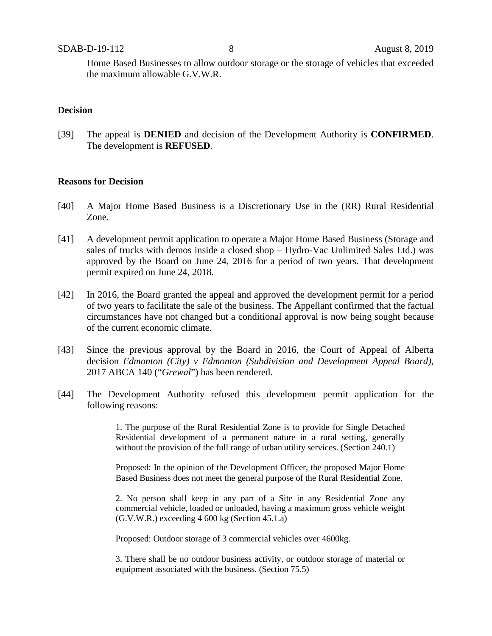Home Based Businesses to allow outdoor storage or the storage of vehicles that exceeded the maximum allowable G.V.W.R.

### **Decision**

[39] The appeal is **DENIED** and decision of the Development Authority is **CONFIRMED**. The development is **REFUSED**.

#### **Reasons for Decision**

- [40] A Major Home Based Business is a Discretionary Use in the (RR) Rural Residential Zone.
- [41] A development permit application to operate a Major Home Based Business (Storage and sales of trucks with demos inside a closed shop – Hydro-Vac Unlimited Sales Ltd.) was approved by the Board on June 24, 2016 for a period of two years. That development permit expired on June 24, 2018.
- [42] In 2016, the Board granted the appeal and approved the development permit for a period of two years to facilitate the sale of the business. The Appellant confirmed that the factual circumstances have not changed but a conditional approval is now being sought because of the current economic climate.
- [43] Since the previous approval by the Board in 2016, the Court of Appeal of Alberta decision *Edmonton (City) v Edmonton (Subdivision and Development Appeal Board)*, 2017 ABCA 140 ("*Grewal*") has been rendered.
- [44] The Development Authority refused this development permit application for the following reasons:

1. The purpose of the Rural Residential Zone is to provide for Single Detached Residential development of a permanent nature in a rural setting, generally without the provision of the full range of urban utility services. (Section 240.1)

Proposed: In the opinion of the Development Officer, the proposed Major Home Based Business does not meet the general purpose of the Rural Residential Zone.

2. No person shall keep in any part of a Site in any Residential Zone any commercial vehicle, loaded or unloaded, having a maximum gross vehicle weight (G.V.W.R.) exceeding 4 600 kg (Section 45.1.a)

Proposed: Outdoor storage of 3 commercial vehicles over 4600kg.

3. There shall be no outdoor business activity, or outdoor storage of material or equipment associated with the business. (Section 75.5)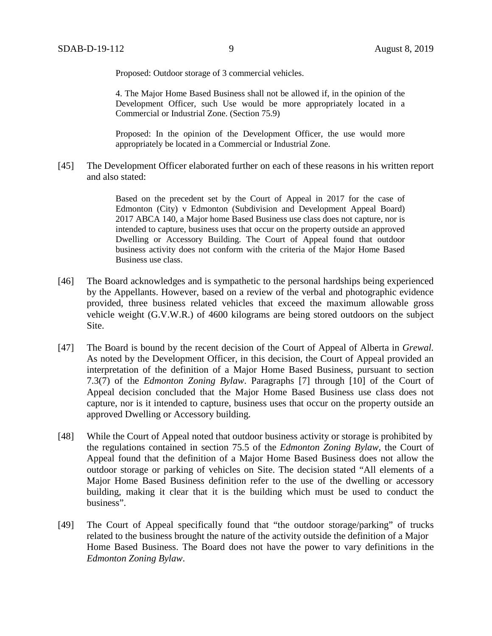Proposed: Outdoor storage of 3 commercial vehicles.

4. The Major Home Based Business shall not be allowed if, in the opinion of the Development Officer, such Use would be more appropriately located in a Commercial or Industrial Zone. (Section 75.9)

Proposed: In the opinion of the Development Officer, the use would more appropriately be located in a Commercial or Industrial Zone.

[45] The Development Officer elaborated further on each of these reasons in his written report and also stated:

> Based on the precedent set by the Court of Appeal in 2017 for the case of Edmonton (City) v Edmonton (Subdivision and Development Appeal Board) 2017 ABCA 140, a Major home Based Business use class does not capture, nor is intended to capture, business uses that occur on the property outside an approved Dwelling or Accessory Building. The Court of Appeal found that outdoor business activity does not conform with the criteria of the Major Home Based Business use class.

- [46] The Board acknowledges and is sympathetic to the personal hardships being experienced by the Appellants. However, based on a review of the verbal and photographic evidence provided, three business related vehicles that exceed the maximum allowable gross vehicle weight (G.V.W.R.) of 4600 kilograms are being stored outdoors on the subject Site.
- [47] The Board is bound by the recent decision of the Court of Appeal of Alberta in *Grewal.*  As noted by the Development Officer, in this decision, the Court of Appeal provided an interpretation of the definition of a Major Home Based Business, pursuant to section 7.3(7) of the *Edmonton Zoning Bylaw*. Paragraphs [7] through [10] of the Court of Appeal decision concluded that the Major Home Based Business use class does not capture, nor is it intended to capture, business uses that occur on the property outside an approved Dwelling or Accessory building.
- [48] While the Court of Appeal noted that outdoor business activity or storage is prohibited by the regulations contained in section 75.5 of the *Edmonton Zoning Bylaw*, the Court of Appeal found that the definition of a Major Home Based Business does not allow the outdoor storage or parking of vehicles on Site. The decision stated "All elements of a Major Home Based Business definition refer to the use of the dwelling or accessory building, making it clear that it is the building which must be used to conduct the business".
- [49] The Court of Appeal specifically found that "the outdoor storage/parking" of trucks related to the business brought the nature of the activity outside the definition of a Major Home Based Business. The Board does not have the power to vary definitions in the *Edmonton Zoning Bylaw*.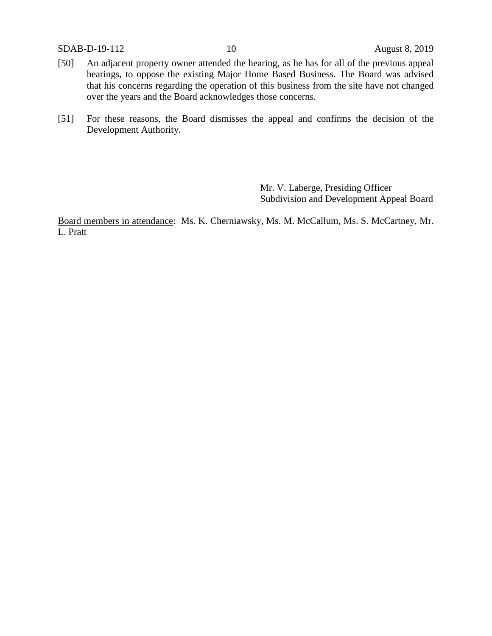SDAB-D-19-112 10 August 8, 2019

- [50] An adjacent property owner attended the hearing, as he has for all of the previous appeal hearings, to oppose the existing Major Home Based Business. The Board was advised that his concerns regarding the operation of this business from the site have not changed over the years and the Board acknowledges those concerns.
- [51] For these reasons, the Board dismisses the appeal and confirms the decision of the Development Authority.

Mr. V. Laberge, Presiding Officer Subdivision and Development Appeal Board

Board members in attendance: Ms. K. Cherniawsky, Ms. M. McCallum, Ms. S. McCartney, Mr. L. Pratt